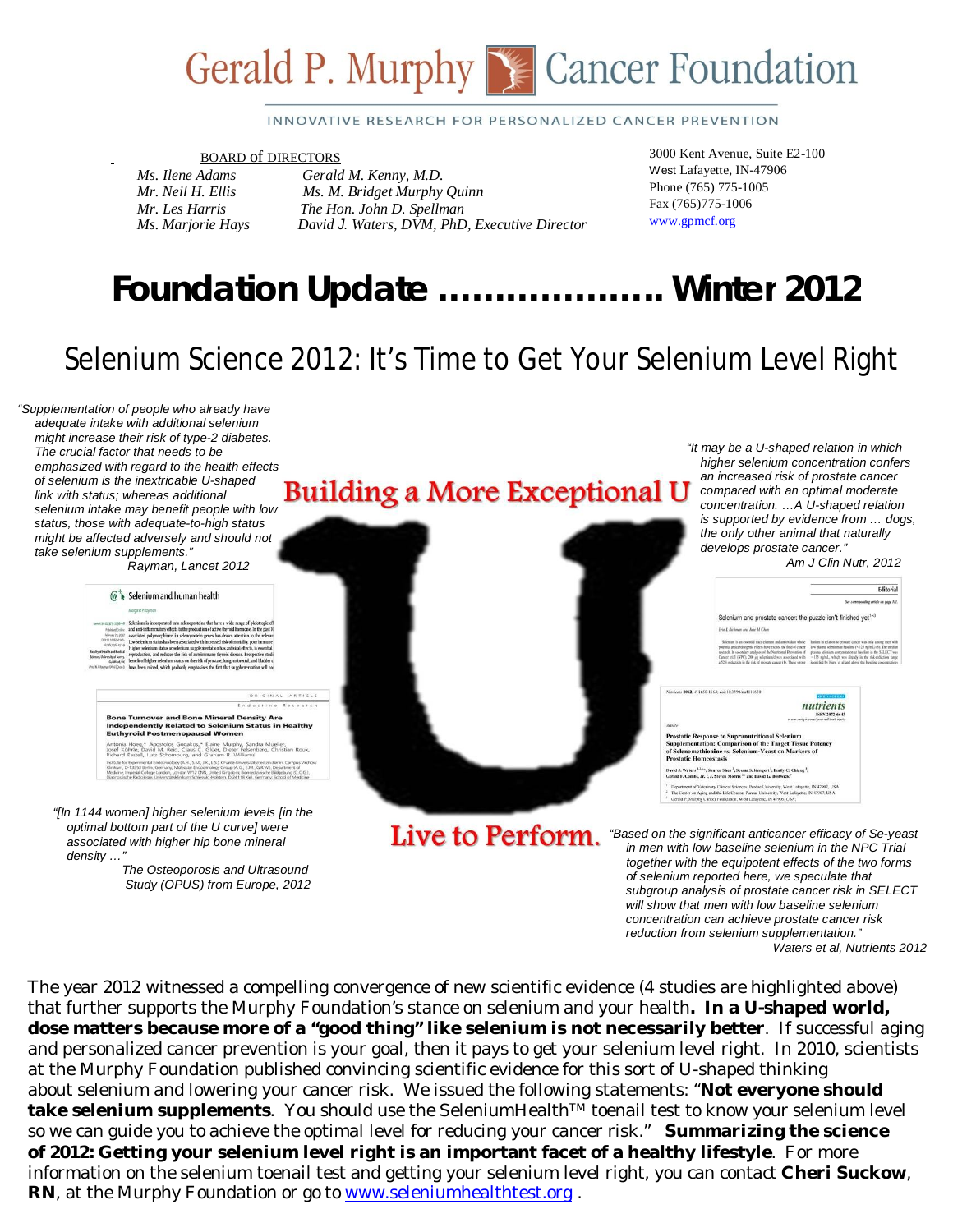

#### INNOVATIVE RESEARCH FOR PERSONALIZED CANCER PREVENTION

#### BOARD of DIRECTORS

*Ms. Ilene Adams Gerald M. Kenny, M.D. Mr. Neil H. Ellis Ms. M. Bridget Murphy Quinn Mr. Les Harris The Hon. John D. Spellman Ms. Marjorie Hays David J. Waters, DVM, PhD, Executive Director*  3000 Kent Avenue, Suite E2-100 West Lafayette, IN-47906 Phone (765) 775-1005 Fax (765)775-1006 www.gpmcf.org

# *Foundation Update* **………………..** *Winter 2012*

## Selenium Science 2012: It's Time to Get Your Selenium Level Right

 *"Supplementation of people who already have adequate intake with additional selenium might increase their risk of type-2 diabetes. The crucial factor that needs to be emphasized with regard to the health effects of selenium is the inextricable U-shaped link with status; whereas additional selenium intake may benefit people with low status, those with adequate-to-high status might be affected adversely and should not take selenium supplements."*

 *Rayman, Lancet 2012*

| Levin 2012: 170 1255-68<br>Published Groline<br>fellecary 26, 2012<br>DOI:30.5536/52585<br>67803161413<br>Faculty of Health and Medical<br>Sciences, University of Surrey.<br>Grifford UK<br>(Prof MP Raymen DPSE) Dute () | Selenium is incorporated into selenoproteins that have a wide range of pleiotropic eff<br>and anti-inflammatory effects to the production of active thyroid hormone. In the past 10<br>associated polymorphisms in selenoprotein genes has drawn attention to the relevant<br>Low selenium status has been associated with increased risk of mortality, poor immune<br>Higher selenium status or selenium supplementation has antiviral effects, is essential<br>reproduction, and reduces the risk of autoimmune thyroid disease. Prospective studi<br>benefit of higher selenium status on the risk of prostate, lung, colorectal, and bladder c<br>have been mixed, which probably emphasises the fact that supplementation will cor- |          |
|----------------------------------------------------------------------------------------------------------------------------------------------------------------------------------------------------------------------------|------------------------------------------------------------------------------------------------------------------------------------------------------------------------------------------------------------------------------------------------------------------------------------------------------------------------------------------------------------------------------------------------------------------------------------------------------------------------------------------------------------------------------------------------------------------------------------------------------------------------------------------------------------------------------------------------------------------------------------------|----------|
|                                                                                                                                                                                                                            | ORIGINAL                                                                                                                                                                                                                                                                                                                                                                                                                                                                                                                                                                                                                                                                                                                                 | ARTICLE  |
|                                                                                                                                                                                                                            | Endocrine<br><b>Bone Turnover and Bone Mineral Density Are</b><br><b>Independently Related to Selenium Status in Healthy</b><br><b>Euthyroid Postmenopausal Women</b>                                                                                                                                                                                                                                                                                                                                                                                                                                                                                                                                                                    | Research |
|                                                                                                                                                                                                                            | Antonia Hoeg,* Apostolos Gogakos,* Elaine Murphy, Sandra Mueller,<br>Josef Köhrle, David M. Reid, Claus C. Glüer, Dieter Felsenberg, Christian Roux,<br>Richard Eastell, Lutz Schomburg, and Graham R. Williams                                                                                                                                                                                                                                                                                                                                                                                                                                                                                                                          |          |
|                                                                                                                                                                                                                            | Institute for Experimental Endocrinology (A.H., S.M., J.K., L.S.). Charité-Universitätsmedizin-Berlin, Carmous Virchow<br>Klinkum, D-13353 Berlin, Germany, Molecular Endocrinology Group (A.G., E.M., G.R.W.), Department of<br>Medicine, Imperial College London, London W12 0NN, United Kingdom; Biomedizinische Bildgebung (C.C.G.),<br>Diagnosfordhe Radiologie, Universität iklinikum Schlesvirg Holstein, D-24118 Kiel, Germany, School of Medicine                                                                                                                                                                                                                                                                               |          |

 *optimal bottom part of the U curve] were associated with higher hip bone mineral density …"*

 *The Osteoporosis and Ultrasound Study (OPUS) from Europe, 2012*

## *Building a More Exceptional U an increased risk of prostate cancer Building a More Exceptional U <i>compared with an optimal moderate*

*"It may be a U-shaped relation in which higher selenium concentration confers compared with an optimal moderate concentration. …A U-shaped relation is supported by evidence from … dogs, the only other animal that naturally develops prostate cancer." Am J Clin Nutr, 2012*

|                              | <b>Editorial</b>                                                                                                                                                                                                                                                                                                                                                                                                                                                                                                                                                                                                                                                           |
|------------------------------|----------------------------------------------------------------------------------------------------------------------------------------------------------------------------------------------------------------------------------------------------------------------------------------------------------------------------------------------------------------------------------------------------------------------------------------------------------------------------------------------------------------------------------------------------------------------------------------------------------------------------------------------------------------------------|
|                              | See corresponding article on page 111.                                                                                                                                                                                                                                                                                                                                                                                                                                                                                                                                                                                                                                     |
|                              | Selenium and prostate cancer: the puzzle isn't finished yet <sup>1-3</sup>                                                                                                                                                                                                                                                                                                                                                                                                                                                                                                                                                                                                 |
|                              | Erie I. Richman and Jane M Chan                                                                                                                                                                                                                                                                                                                                                                                                                                                                                                                                                                                                                                            |
|                              | Selenium is an essential trace element and antioxidant whose<br>lesium in relation to prostate cancer was only among men with<br>low plasma scienium at baseline (<123 ng/mL) (6). The median<br>potential anticarcinegenic effects have excited the field of cancer<br>plasma selenium concentration at haueline in the SELECT was<br>research. In secondary analyses of the Natritional Prevention of<br>Cancer trial (NPC), 200 ag selenismid was associated with<br>-135 na/nL, which was already in the risk-reduction range<br>a 52% reduction in the risk of researce cureov (1). These strong-<br>identified by Hurst et al and above the baseline concentrations. |
|                              |                                                                                                                                                                                                                                                                                                                                                                                                                                                                                                                                                                                                                                                                            |
|                              | Natrients 2012, J. 1650-1663; doi:10.3390/na4111650<br><b>OPEN ACCESS</b>                                                                                                                                                                                                                                                                                                                                                                                                                                                                                                                                                                                                  |
|                              | nutrients                                                                                                                                                                                                                                                                                                                                                                                                                                                                                                                                                                                                                                                                  |
|                              | ISSN 2072-6643<br>www.mdpi.com/journal/nutrients                                                                                                                                                                                                                                                                                                                                                                                                                                                                                                                                                                                                                           |
| Article                      |                                                                                                                                                                                                                                                                                                                                                                                                                                                                                                                                                                                                                                                                            |
| <b>Prostatic Homeostasis</b> | <b>Prostatic Response to Supranutritional Selenium</b><br>Supplementation: Comparison of the Target Tissue Potency<br>of Selenomethionine vs. Selenium-Yeast on Markers of                                                                                                                                                                                                                                                                                                                                                                                                                                                                                                 |
|                              | David J. Waters <sup>1.23</sup> <sup>a</sup> , Shuren Shen <sup>3</sup> , Seema S. Kengeri <sup>3</sup> , Emily C. Chiang <sup>3</sup> ,<br>Greatd F. Combs. Jr. <sup>4</sup> . J. Steven Morris <sup>56</sup> and David G. Bostwick <sup>7</sup>                                                                                                                                                                                                                                                                                                                                                                                                                          |
|                              | Department of Veterinary Clinical Sciences, Purdue University, West Lafayette, IN 47907, USA<br>The Center on Aging and the Life Course. Purdue University, West Lafayette, IN 47907, USA.<br>and the property of the control of the control of the control of the control of the control of the control of the control of the control of the control of the control of the control of the control of the control of the con                                                                                                                                                                                                                                               |

Live to Perform.

*"Based on the significant anticancer efficacy of Se-yeast in men with low baseline selenium in the NPC Trial together with the equipotent effects of the two forms of selenium reported here, we speculate that subgroup analysis of prostate cancer risk in SELECT will show that men with low baseline selenium concentration can achieve prostate cancer risk reduction from selenium supplementation." Waters et al, Nutrients 2012*

The year 2012 witnessed a compelling convergence of new scientific evidence (4 studies are highlighted above) that further supports the Murphy Foundation's stance on selenium and your health**. In a U-shaped world, dose matters because more of a "good thing" like selenium is not necessarily better**. If successful aging and personalized cancer prevention is your goal, then it pays to get your selenium level right. In 2010, scientists at the Murphy Foundation published convincing scientific evidence for this sort of U-shaped thinking about selenium and lowering your cancer risk. We issued the following statements: "**Not everyone should** take selenium supplements. You should use the SeleniumHealth™ toenail test to know your selenium level so we can guide you to achieve the optimal level for reducing your cancer risk." **Summarizing the science of 2012: Getting your selenium level right is an important facet of a healthy lifestyle**. For more information on the selenium toenail test and getting your selenium level right, you can contact **Cheri Suckow**, **RN**, at the Murphy Foundation or go to www.seleniumhealthtest.org .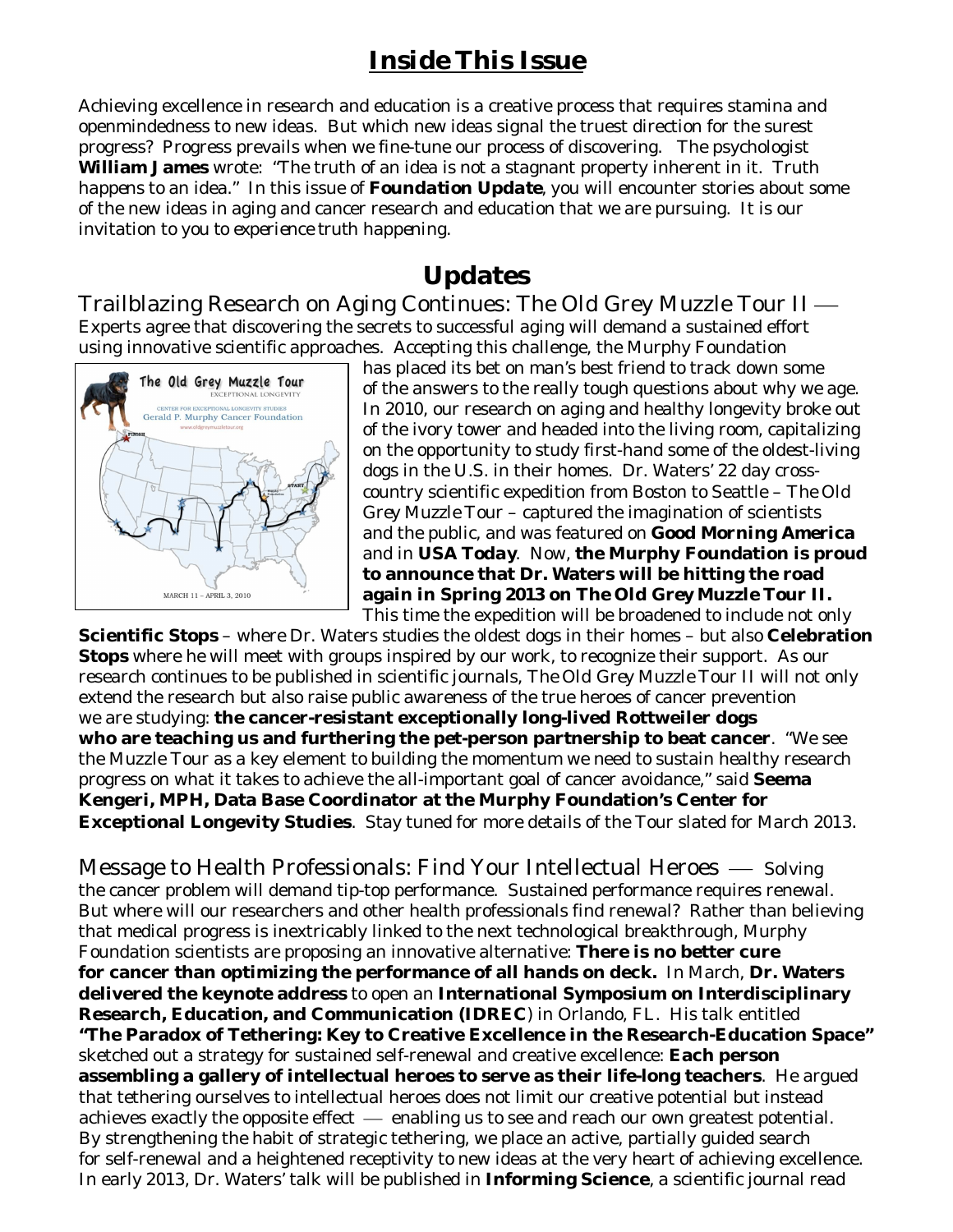## *Inside This Issue*

Achieving excellence in research and education is a creative process that requires stamina and openmindedness to new ideas. But which new ideas signal the truest direction for the surest progress? Progress prevails when we fine-tune our process of discovering. The psychologist **William James** wrote: "The truth of an idea is not a stagnant property inherent in it. Truth *happens* to an idea." In this issue of *Foundation Update*, you will encounter stories about some of the new ideas in aging and cancer research and education that we are pursuing. It is our invitation to you *to experience truth happening*.

### **Updates**

Trailblazing Research on Aging Continues: The Old Grey Muzzle Tour II Experts agree that discovering the secrets to successful aging will demand a sustained effort using innovative scientific approaches. Accepting this challenge, the Murphy Foundation



has placed its bet on man's best friend to track down some of the answers to the really tough questions about why we age. In 2010, our research on aging and healthy longevity broke out of the ivory tower and headed into the living room, capitalizing on the opportunity to study first-hand some of the oldest-living dogs in the U.S. in their homes. Dr. Waters' 22 day crosscountry scientific expedition from Boston to Seattle – *The Old Grey Muzzle Tour* – captured the imagination of scientists and the public, and was featured on *Good Morning America* and in *USA Today*. Now, **the Murphy Foundation is proud to announce that Dr. Waters will be hitting the road again in Spring 2013 on** *The Old Grey Muzzle Tour II***.** This time the expedition will be broadened to include not only

**Scientific Stops** – where Dr. Waters studies the oldest dogs in their homes – but also **Celebration Stops** where he will meet with groups inspired by our work, to recognize their support. As our research continues to be published in scientific journals, *The Old Grey Muzzle Tour II* will not only extend the research but also raise public awareness of the true heroes of cancer prevention we are studying: **the cancer-resistant exceptionally long-lived Rottweiler dogs who are teaching us and furthering the pet-person partnership to beat cancer**. "We see the Muzzle Tour as a key element to building the momentum we need to sustain healthy research progress on what it takes to achieve the all-important goal of cancer avoidance," said **Seema Kengeri, MPH, Data Base Coordinator at the Murphy Foundation's Center for Exceptional Longevity Studies**. Stay tuned for more details of the Tour slated for March 2013.

Message to Health Professionals: Find Your Intellectual Heroes – Solving the cancer problem will demand tip-top performance. Sustained performance requires renewal. But where will our researchers and other health professionals find renewal? Rather than believing that medical progress is inextricably linked to the next technological breakthrough, Murphy Foundation scientists are proposing an innovative alternative: **There is no better cure for cancer than optimizing the performance of all hands on deck.** In March, **Dr. Waters delivered the keynote address** to open an **International Symposium on Interdisciplinary Research, Education, and Communication (IDREC**) in Orlando, FL. His talk entitled **"The Paradox of Tethering: Key to Creative Excellence in the Research-Education Space"** sketched out a strategy for sustained self-renewal and creative excellence: **Each person assembling a gallery of intellectual heroes to serve as their life-long teachers**. He argued that tethering ourselves to intellectual heroes does not limit our creative potential but instead achieves exactly the opposite effect  $-$  enabling us to see and reach our own greatest potential. By strengthening the habit of strategic tethering, we place an active, partially guided search for self-renewal and a heightened receptivity to new ideas at the very heart of achieving excellence. In early 2013, Dr. Waters' talk will be published in **Informing Science**, a scientific journal read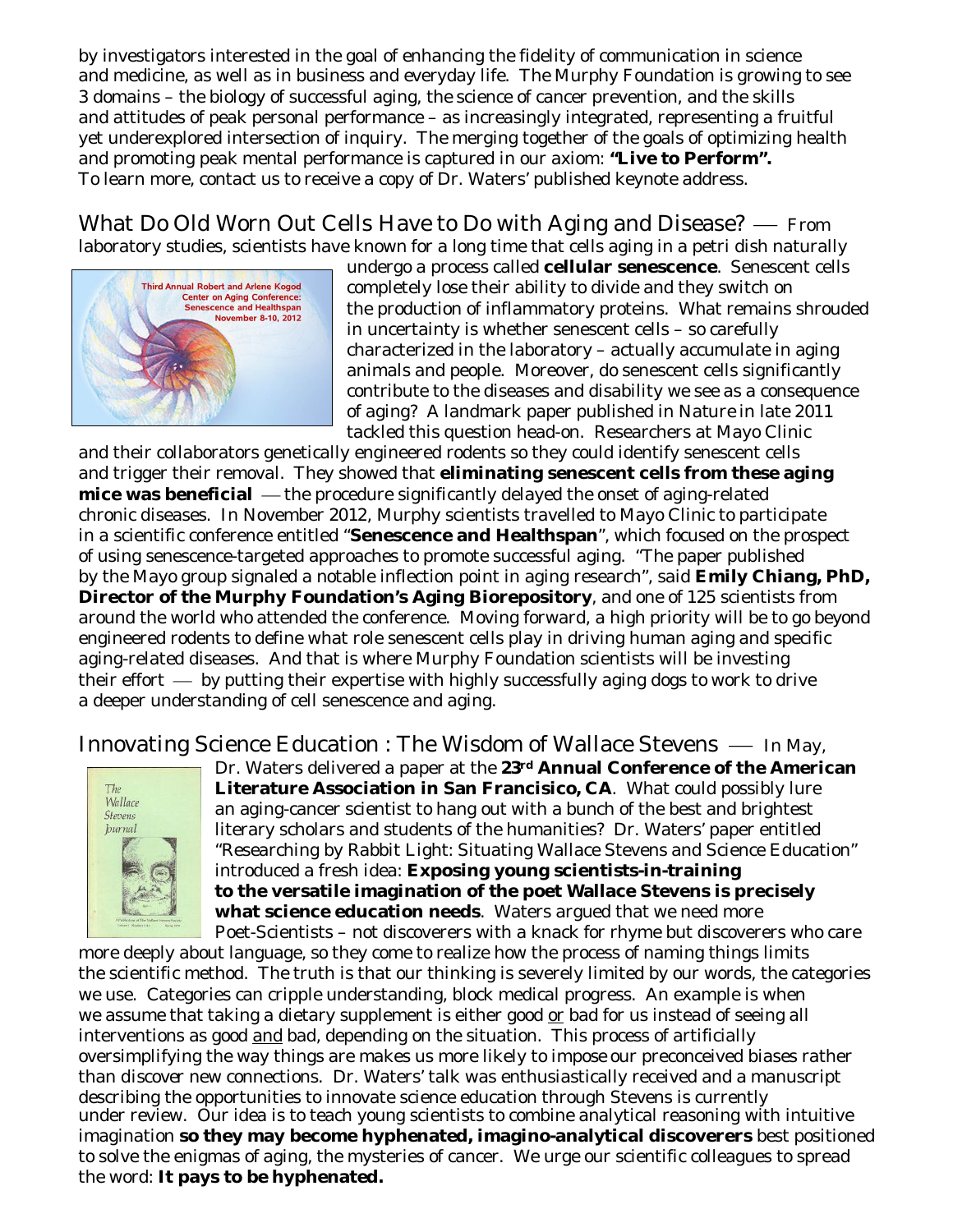by investigators interested in the goal of enhancing the fidelity of communication in science and medicine, as well as in business and everyday life. The Murphy Foundation is growing to see 3 domains – the biology of successful aging, the science of cancer prevention, and the skills and attitudes of peak personal performance – as increasingly integrated, representing a fruitful yet underexplored intersection of inquiry. The merging together of the goals of optimizing health and promoting peak mental performance is captured in our axiom: **"Live to Perform".** To learn more, contact us to receive a copy of Dr. Waters' published keynote address.

What Do Old Worn Out Cells Have to Do with Aging and Disease?  $-$  From laboratory studies, scientists have known for a long time that cells aging in a petri dish naturally



undergo a process called **cellular senescence**. Senescent cells completely lose their ability to divide and they switch on the production of inflammatory proteins. What remains shrouded in uncertainty is whether senescent cells – so carefully characterized in the laboratory – actually accumulate in aging animals and people. Moreover, do senescent cells significantly contribute to the diseases and disability we see as a consequence of aging? A landmark paper published in *Nature* in late 2011 tackled this question head-on. Researchers at Mayo Clinic

and their collaborators genetically engineered rodents so they could identify senescent cells and trigger their removal. They showed that **eliminating senescent cells from these aging mice was beneficial** — the procedure significantly delayed the onset of aging-related chronic diseases. In November 2012, Murphy scientists travelled to Mayo Clinic to participate in a scientific conference entitled "**Senescence and Healthspan**", which focused on the prospect of using senescence-targeted approaches to promote successful aging. "The paper published by the Mayo group signaled a notable inflection point in aging research", said **Emily Chiang, PhD, Director of the Murphy Foundation's Aging Biorepository**, and one of 125 scientists from around the world who attended the conference. Moving forward, a high priority will be to go beyond engineered rodents to define what role senescent cells play in driving human aging and specific aging-related diseases. And that is where Murphy Foundation scientists will be investing their effort  $\frac{1}{1}$  by putting their expertise with highly successfully aging dogs to work to drive a deeper understanding of cell senescence and aging.

Innovating Science Education : The Wisdom of Wallace Stevens  $-$  In May,



Dr. Waters delivered a paper at the **23rd Annual Conference of the American Literature Association in San Francisico, CA**. What could possibly lure an aging-cancer scientist to hang out with a bunch of the best and brightest literary scholars and students of the humanities? Dr. Waters' paper entitled "Researching by Rabbit Light: Situating Wallace Stevens and Science Education" introduced a fresh idea: **Exposing young scientists-in-training to the versatile imagination of the poet Wallace Stevens is precisely what science education needs**. Waters argued that we need more Poet-Scientists – not discoverers with a knack for rhyme but discoverers who care

more deeply about language, so they come to realize how the process of naming things limits the scientific method. The truth is that our thinking is severely limited by our words, the categories we use. Categories can cripple understanding, block medical progress. An example is when we assume that taking a dietary supplement is either good or bad for us instead of seeing all interventions as good and bad, depending on the situation. This process of artificially oversimplifying the way things are makes us more likely to *impose* our preconceived biases rather than *discover* new connections. Dr. Waters' talk was enthusiastically received and a manuscript describing the opportunities to innovate science education through Stevens is currently under review. Our idea is to teach young scientists to combine analytical reasoning with intuitive imagination **so they may become hyphenated, imagino-analytical discoverers** best positioned to solve the enigmas of aging, the mysteries of cancer. We urge our scientific colleagues to spread the word: **It pays to be hyphenated.**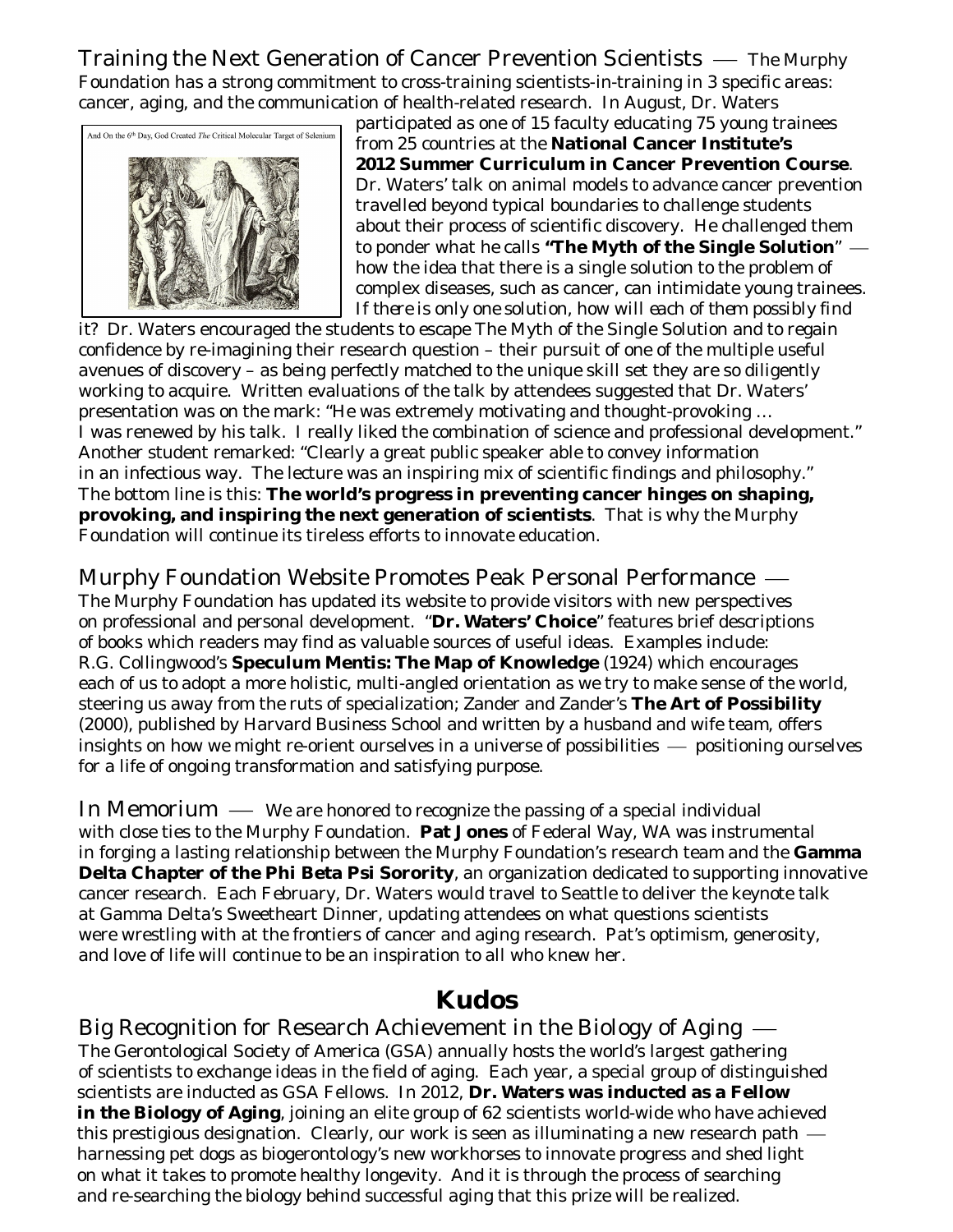Training the Next Generation of Cancer Prevention Scientists — The Murphy Foundation has a strong commitment to cross-training scientists-in-training in 3 specific areas: cancer, aging, and the communication of health-related research. In August, Dr. Waters



participated as one of 15 faculty educating 75 young trainees from 25 countries at the **National Cancer Institute's 2012 Summer Curriculum in Cancer Prevention Course**. Dr. Waters' talk on animal models to advance cancer prevention travelled beyond typical boundaries to challenge students about their process of scientific discovery. He challenged them to ponder what he calls **"The Myth of the Single Solution**" how the idea that there is a single solution to the problem of complex diseases, such as cancer, can intimidate young trainees. *If there is only one solution, how will each of them possibly find* 

*it?* Dr. Waters encouraged the students to escape The Myth of the Single Solution and to regain confidence by re-imagining their research question – their pursuit of one of the multiple useful avenues of discovery – as being perfectly matched to the unique skill set they are so diligently working to acquire. Written evaluations of the talk by attendees suggested that Dr. Waters' presentation was on the mark: "He was extremely motivating and thought-provoking … I was renewed by his talk. I really liked the combination of science and professional development." Another student remarked: "Clearly a great public speaker able to convey information in an infectious way. The lecture was an inspiring mix of scientific findings and philosophy." The bottom line is this: **The world's progress in preventing cancer hinges on shaping, provoking, and inspiring the next generation of scientists**. That is why the Murphy Foundation will continue its tireless efforts to innovate education.

Murphy Foundation Website Promotes Peak Personal Performance The Murphy Foundation has updated its website to provide visitors with new perspectives on professional and personal development. "**Dr. Waters' Choice**" features brief descriptions of books which readers may find as valuable sources of useful ideas. Examples include: R.G. Collingwood's **Speculum Mentis: The Map of Knowledge** (1924) which encourages each of us to adopt a more holistic, multi-angled orientation as we try to make sense of the world, steering us away from the ruts of specialization; Zander and Zander's **The Art of Possibility** (2000), published by Harvard Business School and written by a husband and wife team, offers insights on how we might re-orient ourselves in a universe of possibilities  $-$  positioning ourselves for a life of ongoing transformation and satisfying purpose.

In Memorium  $\longrightarrow$  We are honored to recognize the passing of a special individual with close ties to the Murphy Foundation. **Pat Jones** of Federal Way, WA was instrumental in forging a lasting relationship between the Murphy Foundation's research team and the **Gamma Delta Chapter of the Phi Beta Psi Sorority**, an organization dedicated to supporting innovative cancer research. Each February, Dr. Waters would travel to Seattle to deliver the keynote talk at Gamma Delta's Sweetheart Dinner, updating attendees on what questions scientists were wrestling with at the frontiers of cancer and aging research. Pat's optimism, generosity, and love of life will continue to be an inspiration to all who knew her.

### **Kudos**

Big Recognition for Research Achievement in the Biology of Aging The Gerontological Society of America (GSA) annually hosts the world's largest gathering of scientists to exchange ideas in the field of aging. Each year, a special group of distinguished scientists are inducted as GSA Fellows. In 2012, **Dr. Waters was inducted as a Fellow in the Biology of Aging**, joining an elite group of 62 scientists world-wide who have achieved this prestigious designation. Clearly, our work is seen as illuminating a new research path. harnessing pet dogs as biogerontology's new workhorses to innovate progress and shed light on what it takes to promote healthy longevity. And it is through the process of searching and re-searching the biology behind successful aging that this prize will be realized.